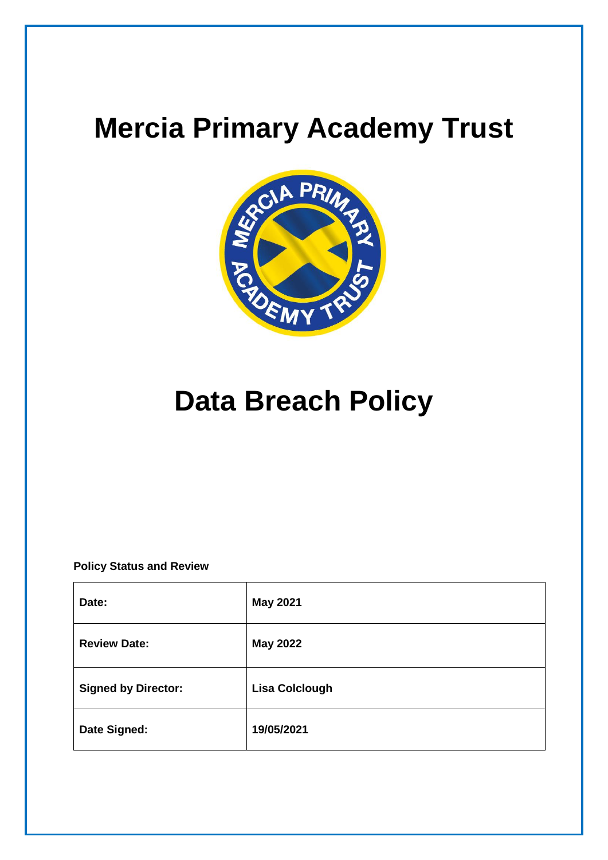

# **Data Breach Policy**

# **Policy Status and Review**

| Date:                      | <b>May 2021</b>       |
|----------------------------|-----------------------|
| <b>Review Date:</b>        | <b>May 2022</b>       |
| <b>Signed by Director:</b> | <b>Lisa Colclough</b> |
| Date Signed:               | 19/05/2021            |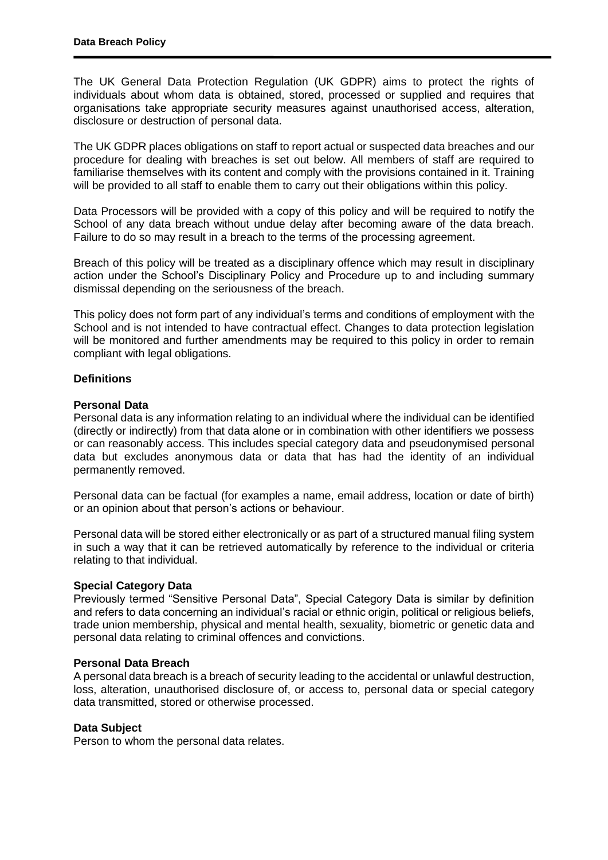The UK General Data Protection Regulation (UK GDPR) aims to protect the rights of individuals about whom data is obtained, stored, processed or supplied and requires that organisations take appropriate security measures against unauthorised access, alteration, disclosure or destruction of personal data.

The UK GDPR places obligations on staff to report actual or suspected data breaches and our procedure for dealing with breaches is set out below. All members of staff are required to familiarise themselves with its content and comply with the provisions contained in it. Training will be provided to all staff to enable them to carry out their obligations within this policy.

Data Processors will be provided with a copy of this policy and will be required to notify the School of any data breach without undue delay after becoming aware of the data breach. Failure to do so may result in a breach to the terms of the processing agreement.

Breach of this policy will be treated as a disciplinary offence which may result in disciplinary action under the School's Disciplinary Policy and Procedure up to and including summary dismissal depending on the seriousness of the breach.

This policy does not form part of any individual's terms and conditions of employment with the School and is not intended to have contractual effect. Changes to data protection legislation will be monitored and further amendments may be required to this policy in order to remain compliant with legal obligations.

### **Definitions**

### **Personal Data**

Personal data is any information relating to an individual where the individual can be identified (directly or indirectly) from that data alone or in combination with other identifiers we possess or can reasonably access. This includes special category data and pseudonymised personal data but excludes anonymous data or data that has had the identity of an individual permanently removed.

Personal data can be factual (for examples a name, email address, location or date of birth) or an opinion about that person's actions or behaviour.

Personal data will be stored either electronically or as part of a structured manual filing system in such a way that it can be retrieved automatically by reference to the individual or criteria relating to that individual.

#### **Special Category Data**

Previously termed "Sensitive Personal Data", Special Category Data is similar by definition and refers to data concerning an individual's racial or ethnic origin, political or religious beliefs, trade union membership, physical and mental health, sexuality, biometric or genetic data and personal data relating to criminal offences and convictions.

#### **Personal Data Breach**

A personal data breach is a breach of security leading to the accidental or unlawful destruction, loss, alteration, unauthorised disclosure of, or access to, personal data or special category data transmitted, stored or otherwise processed.

#### **Data Subject**

Person to whom the personal data relates.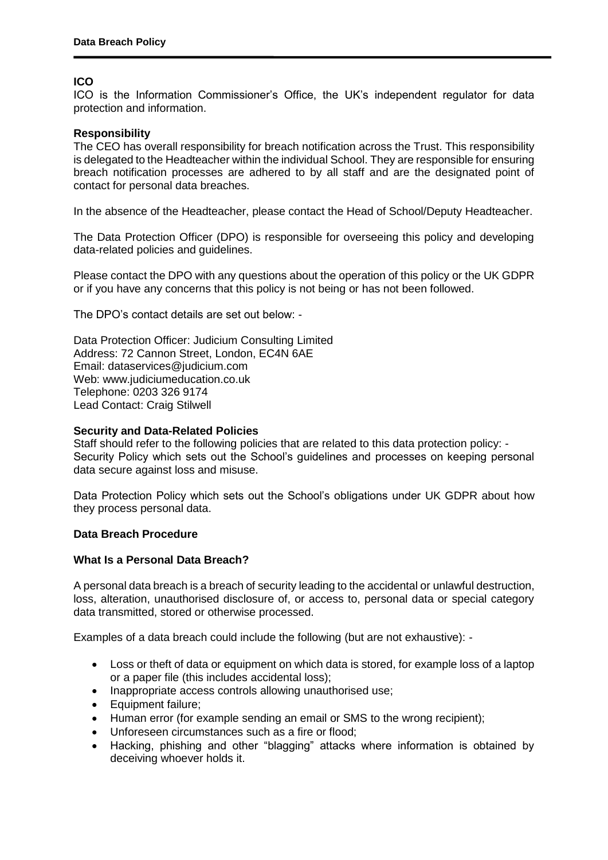# **ICO**

ICO is the Information Commissioner's Office, the UK's independent regulator for data protection and information.

# **Responsibility**

The CEO has overall responsibility for breach notification across the Trust. This responsibility is delegated to the Headteacher within the individual School. They are responsible for ensuring breach notification processes are adhered to by all staff and are the designated point of contact for personal data breaches.

In the absence of the Headteacher, please contact the Head of School/Deputy Headteacher.

The Data Protection Officer (DPO) is responsible for overseeing this policy and developing data-related policies and guidelines.

Please contact the DPO with any questions about the operation of this policy or the UK GDPR or if you have any concerns that this policy is not being or has not been followed.

The DPO's contact details are set out below: -

Data Protection Officer: Judicium Consulting Limited Address: 72 Cannon Street, London, EC4N 6AE Email: [dataservices@judicium.com](mailto:dataservices@judicium.com) Web: www.judiciumeducation.co.uk Telephone: 0203 326 9174 Lead Contact: Craig Stilwell

#### **Security and Data-Related Policies**

Staff should refer to the following policies that are related to this data protection policy: - Security Policy which sets out the School's guidelines and processes on keeping personal data secure against loss and misuse.

Data Protection Policy which sets out the School's obligations under UK GDPR about how they process personal data.

#### **Data Breach Procedure**

#### **What Is a Personal Data Breach?**

A personal data breach is a breach of security leading to the accidental or unlawful destruction, loss, alteration, unauthorised disclosure of, or access to, personal data or special category data transmitted, stored or otherwise processed.

Examples of a data breach could include the following (but are not exhaustive): -

- Loss or theft of data or equipment on which data is stored, for example loss of a laptop or a paper file (this includes accidental loss);
- Inappropriate access controls allowing unauthorised use;
- Equipment failure;
- Human error (for example sending an email or SMS to the wrong recipient);
- Unforeseen circumstances such as a fire or flood;
- Hacking, phishing and other "blagging" attacks where information is obtained by deceiving whoever holds it.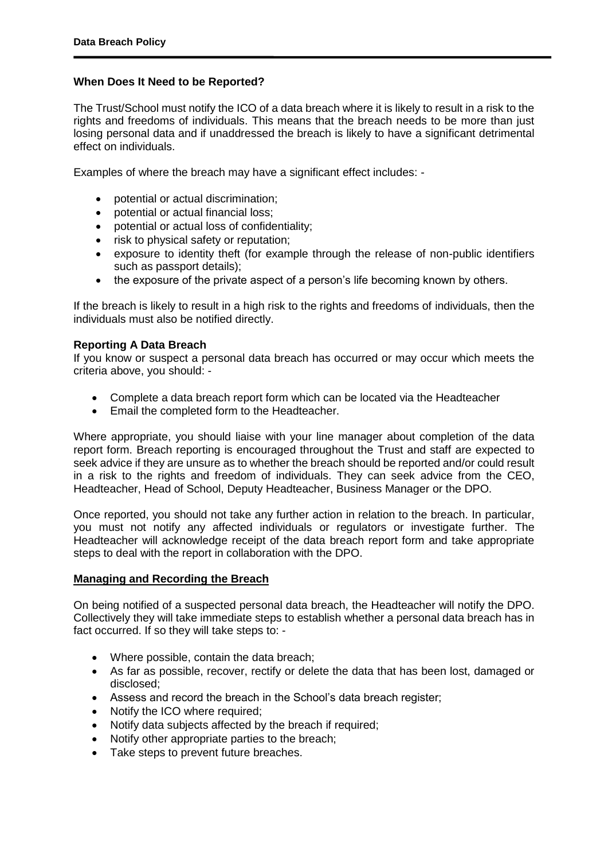### **When Does It Need to be Reported?**

The Trust/School must notify the ICO of a data breach where it is likely to result in a risk to the rights and freedoms of individuals. This means that the breach needs to be more than just losing personal data and if unaddressed the breach is likely to have a significant detrimental effect on individuals.

Examples of where the breach may have a significant effect includes: -

- potential or actual discrimination;
- potential or actual financial loss;
- potential or actual loss of confidentiality;
- risk to physical safety or reputation;
- exposure to identity theft (for example through the release of non-public identifiers such as passport details);
- the exposure of the private aspect of a person's life becoming known by others.

If the breach is likely to result in a high risk to the rights and freedoms of individuals, then the individuals must also be notified directly.

#### **Reporting A Data Breach**

If you know or suspect a personal data breach has occurred or may occur which meets the criteria above, you should: -

- Complete a data breach report form which can be located via the Headteacher
- **Email the completed form to the Headteacher.**

Where appropriate, you should liaise with your line manager about completion of the data report form. Breach reporting is encouraged throughout the Trust and staff are expected to seek advice if they are unsure as to whether the breach should be reported and/or could result in a risk to the rights and freedom of individuals. They can seek advice from the CEO, Headteacher, Head of School, Deputy Headteacher, Business Manager or the DPO.

Once reported, you should not take any further action in relation to the breach. In particular, you must not notify any affected individuals or regulators or investigate further. The Headteacher will acknowledge receipt of the data breach report form and take appropriate steps to deal with the report in collaboration with the DPO.

#### **Managing and Recording the Breach**

On being notified of a suspected personal data breach, the Headteacher will notify the DPO. Collectively they will take immediate steps to establish whether a personal data breach has in fact occurred. If so they will take steps to: -

- Where possible, contain the data breach;
- As far as possible, recover, rectify or delete the data that has been lost, damaged or disclosed;
- Assess and record the breach in the School's data breach register;
- Notify the ICO where required;
- Notify data subjects affected by the breach if required;
- Notify other appropriate parties to the breach;
- Take steps to prevent future breaches.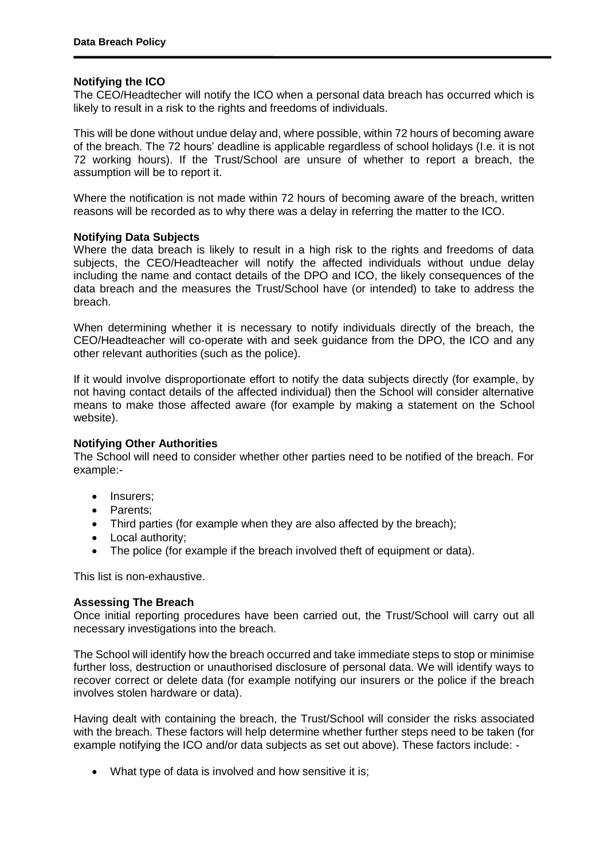#### **Notifying the ICO**

The CEO/Headtecher will notify the ICO when a personal data breach has occurred which is likely to result in a risk to the rights and freedoms of individuals.

This will be done without undue delay and, where possible, within 72 hours of becoming aware of the breach. The 72 hours' deadline is applicable regardless of school holidays (I.e. it is not 72 working hours). If the Trust/School are unsure of whether to report a breach, the assumption will be to report it.

Where the notification is not made within 72 hours of becoming aware of the breach, written reasons will be recorded as to why there was a delay in referring the matter to the ICO.

#### **Notifying Data Subjects**

Where the data breach is likely to result in a high risk to the rights and freedoms of data subjects, the CEO/Headteacher will notify the affected individuals without undue delay including the name and contact details of the DPO and ICO, the likely consequences of the data breach and the measures the Trust/School have (or intended) to take to address the breach.

When determining whether it is necessary to notify individuals directly of the breach, the CEO/Headteacher will co-operate with and seek guidance from the DPO, the ICO and any other relevant authorities (such as the police).

If it would involve disproportionate effort to notify the data subjects directly (for example, by not having contact details of the affected individual) then the School will consider alternative means to make those affected aware (for example by making a statement on the School website).

#### **Notifying Other Authorities**

The School will need to consider whether other parties need to be notified of the breach. For example:-

- Insurers:
- Parents:
- Third parties (for example when they are also affected by the breach);
- Local authority;
- The police (for example if the breach involved theft of equipment or data).

This list is non-exhaustive.

#### **Assessing The Breach**

Once initial reporting procedures have been carried out, the Trust/School will carry out all necessary investigations into the breach.

The School will identify how the breach occurred and take immediate steps to stop or minimise further loss, destruction or unauthorised disclosure of personal data. We will identify ways to recover correct or delete data (for example notifying our insurers or the police if the breach involves stolen hardware or data).

Having dealt with containing the breach, the Trust/School will consider the risks associated with the breach. These factors will help determine whether further steps need to be taken (for example notifying the ICO and/or data subjects as set out above). These factors include: -

• What type of data is involved and how sensitive it is: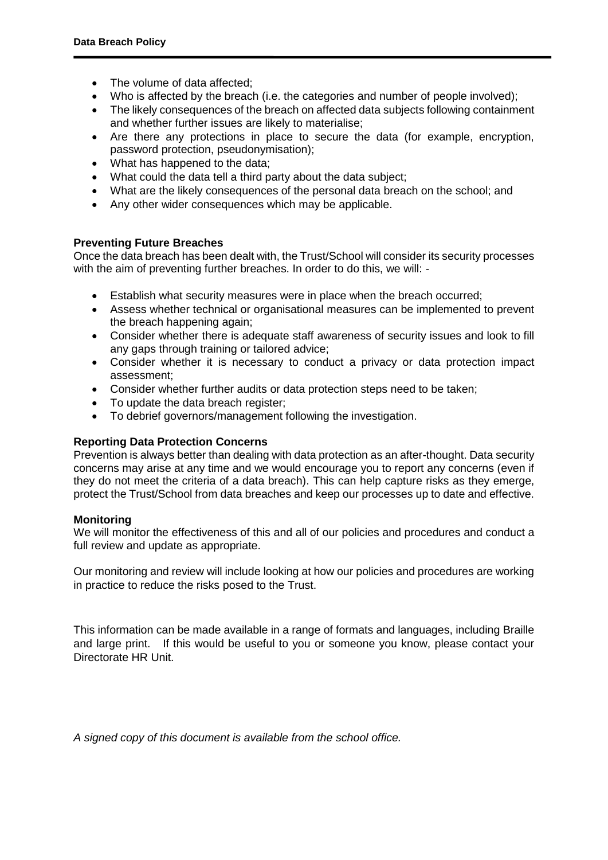- The volume of data affected;
- Who is affected by the breach (i.e. the categories and number of people involved);
- The likely consequences of the breach on affected data subjects following containment and whether further issues are likely to materialise;
- Are there any protections in place to secure the data (for example, encryption, password protection, pseudonymisation);
- What has happened to the data;
- What could the data tell a third party about the data subject:
- What are the likely consequences of the personal data breach on the school; and
- Any other wider consequences which may be applicable.

### **Preventing Future Breaches**

Once the data breach has been dealt with, the Trust/School will consider its security processes with the aim of preventing further breaches. In order to do this, we will: -

- Establish what security measures were in place when the breach occurred;
- Assess whether technical or organisational measures can be implemented to prevent the breach happening again;
- Consider whether there is adequate staff awareness of security issues and look to fill any gaps through training or tailored advice;
- Consider whether it is necessary to conduct a privacy or data protection impact assessment;
- Consider whether further audits or data protection steps need to be taken;
- To update the data breach register;
- To debrief governors/management following the investigation.

# **Reporting Data Protection Concerns**

Prevention is always better than dealing with data protection as an after-thought. Data security concerns may arise at any time and we would encourage you to report any concerns (even if they do not meet the criteria of a data breach). This can help capture risks as they emerge, protect the Trust/School from data breaches and keep our processes up to date and effective.

#### **Monitoring**

We will monitor the effectiveness of this and all of our policies and procedures and conduct a full review and update as appropriate.

Our monitoring and review will include looking at how our policies and procedures are working in practice to reduce the risks posed to the Trust.

This information can be made available in a range of formats and languages, including Braille and large print. If this would be useful to you or someone you know, please contact your Directorate HR Unit.

*A signed copy of this document is available from the school office.*